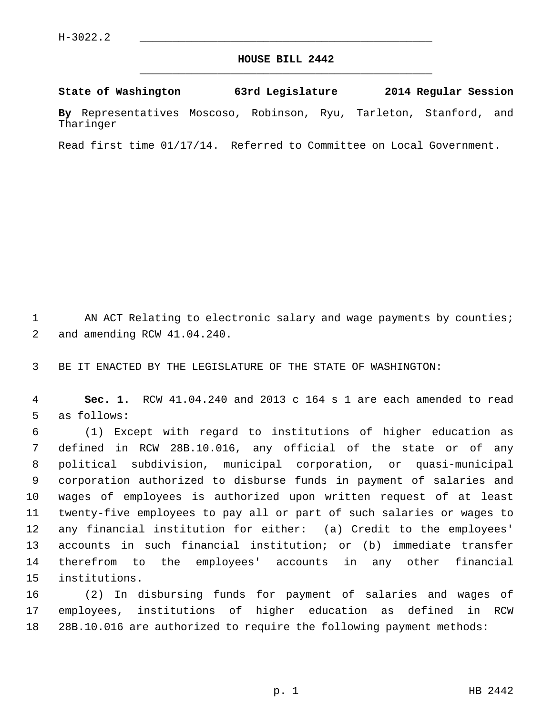## **HOUSE BILL 2442** \_\_\_\_\_\_\_\_\_\_\_\_\_\_\_\_\_\_\_\_\_\_\_\_\_\_\_\_\_\_\_\_\_\_\_\_\_\_\_\_\_\_\_\_\_

## **State of Washington 63rd Legislature 2014 Regular Session**

**By** Representatives Moscoso, Robinson, Ryu, Tarleton, Stanford, and Tharinger

Read first time 01/17/14. Referred to Committee on Local Government.

1 AN ACT Relating to electronic salary and wage payments by counties; 2 and amending RCW 41.04.240.

3 BE IT ENACTED BY THE LEGISLATURE OF THE STATE OF WASHINGTON:

 4 **Sec. 1.** RCW 41.04.240 and 2013 c 164 s 1 are each amended to read 5 as follows:

 6 (1) Except with regard to institutions of higher education as 7 defined in RCW 28B.10.016, any official of the state or of any 8 political subdivision, municipal corporation, or quasi-municipal 9 corporation authorized to disburse funds in payment of salaries and 10 wages of employees is authorized upon written request of at least 11 twenty-five employees to pay all or part of such salaries or wages to 12 any financial institution for either: (a) Credit to the employees' 13 accounts in such financial institution; or (b) immediate transfer 14 therefrom to the employees' accounts in any other financial 15 institutions.

16 (2) In disbursing funds for payment of salaries and wages of 17 employees, institutions of higher education as defined in RCW 18 28B.10.016 are authorized to require the following payment methods: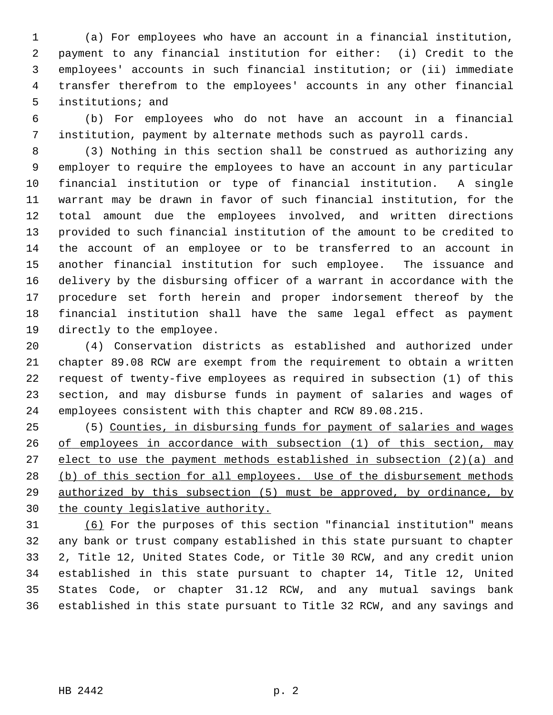1 (a) For employees who have an account in a financial institution, 2 payment to any financial institution for either: (i) Credit to the 3 employees' accounts in such financial institution; or (ii) immediate 4 transfer therefrom to the employees' accounts in any other financial 5 institutions; and

 6 (b) For employees who do not have an account in a financial 7 institution, payment by alternate methods such as payroll cards.

 8 (3) Nothing in this section shall be construed as authorizing any 9 employer to require the employees to have an account in any particular 10 financial institution or type of financial institution. A single 11 warrant may be drawn in favor of such financial institution, for the 12 total amount due the employees involved, and written directions 13 provided to such financial institution of the amount to be credited to 14 the account of an employee or to be transferred to an account in 15 another financial institution for such employee. The issuance and 16 delivery by the disbursing officer of a warrant in accordance with the 17 procedure set forth herein and proper indorsement thereof by the 18 financial institution shall have the same legal effect as payment 19 directly to the employee.

20 (4) Conservation districts as established and authorized under 21 chapter 89.08 RCW are exempt from the requirement to obtain a written 22 request of twenty-five employees as required in subsection (1) of this 23 section, and may disburse funds in payment of salaries and wages of 24 employees consistent with this chapter and RCW 89.08.215.

25 (5) Counties, in disbursing funds for payment of salaries and wages of employees in accordance with subsection (1) of this section, may elect to use the payment methods established in subsection (2)(a) and 28 (b) of this section for all employees. Use of the disbursement methods authorized by this subsection (5) must be approved, by ordinance, by the county legislative authority.

31 (6) For the purposes of this section "financial institution" means 32 any bank or trust company established in this state pursuant to chapter 33 2, Title 12, United States Code, or Title 30 RCW, and any credit union 34 established in this state pursuant to chapter 14, Title 12, United 35 States Code, or chapter 31.12 RCW, and any mutual savings bank 36 established in this state pursuant to Title 32 RCW, and any savings and